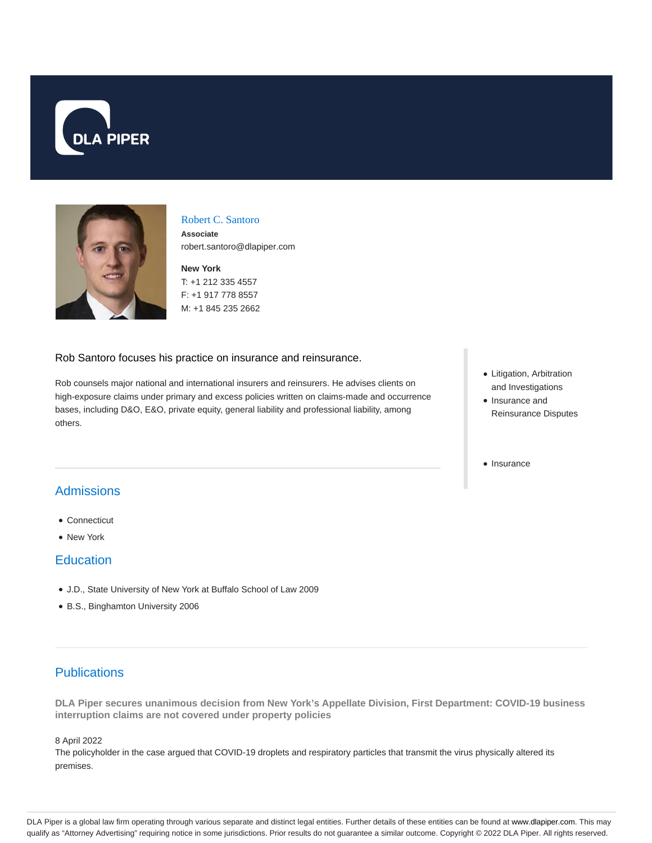



#### Robert C. Santoro

**Associate** robert.santoro@dlapiper.com

**New York** T: +1 212 335 4557 F: +1 917 778 8557 M: +1 845 235 2662

#### Rob Santoro focuses his practice on insurance and reinsurance.

Rob counsels major national and international insurers and reinsurers. He advises clients on high-exposure claims under primary and excess policies written on claims-made and occurrence bases, including D&O, E&O, private equity, general liability and professional liability, among others.

- Litigation, Arbitration and Investigations
- Insurance and Reinsurance Disputes
- Insurance

# Admissions

- Connecticut
- New York

### **Education**

- J.D., State University of New York at Buffalo School of Law 2009
- B.S., Binghamton University 2006

# **Publications**

**DLA Piper secures unanimous decision from New York's Appellate Division, First Department: COVID-19 business interruption claims are not covered under property policies**

8 April 2022

The policyholder in the case argued that COVID-19 droplets and respiratory particles that transmit the virus physically altered its premises.

DLA Piper is a global law firm operating through various separate and distinct legal entities. Further details of these entities can be found at www.dlapiper.com. This may qualify as "Attorney Advertising" requiring notice in some jurisdictions. Prior results do not guarantee a similar outcome. Copyright © 2022 DLA Piper. All rights reserved.